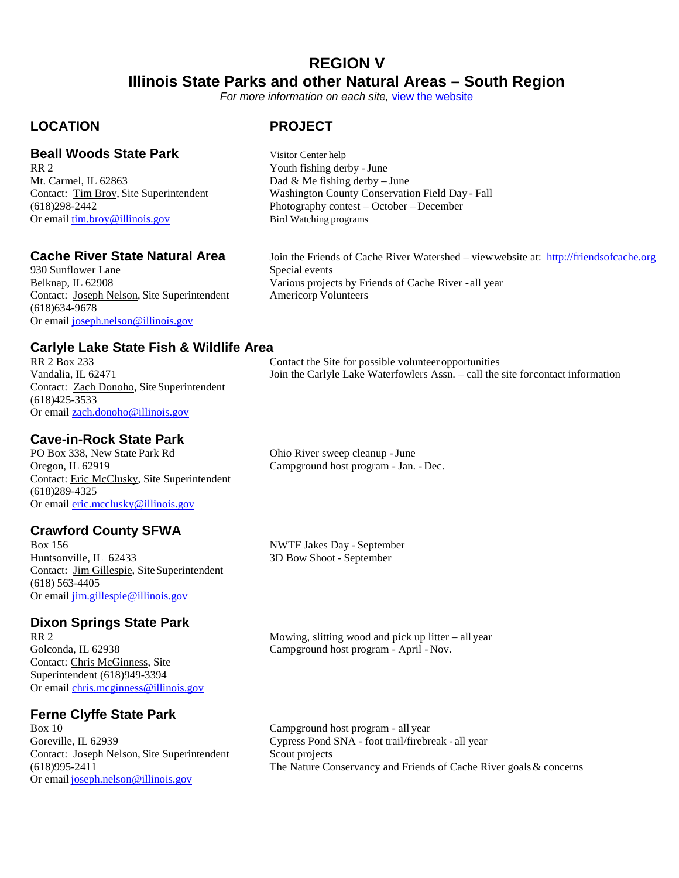### **REGION V Illinois State Parks and other Natural Areas – South Region**

*For more information on each site,* [view the website](https://www.dnr..illinois.gov/Parks/Pages/default.aspx)

#### **LOCATION PROJECT**

### **Beall Woods State Park** Visitor Center help<br>RR 2<br>Youth fishing der

Mt. Carmel, IL 62863 Dad & Me fishing derby – June Or email [tim.broy@illinois.gov](mailto:tim.broy@illinois.gov) Bird Watching programs

930 Sunflower Lane<br>Belknap, IL 62908 Contact: Joseph Nelson, Site Superintendent (618)634-9678 Or email [joseph.nelson@illinois.gov](mailto:joseph.nelson@illinois.gov)

## **Carlyle Lake State Fish & Wildlife Area**

Contact: Zach Donoho, Site Superintendent (618)425-3533 Or email [zach.donoho@illinois.gov](mailto:zach.donoho@illinois.gov)

#### **Cave-in-Rock State Park**

PO Box 338, New State Park Rd Ohio River sweep cleanup -June Oregon, IL 62919 Campground host program - Jan. - Dec. Contact: Eric McClusky, Site Superintendent (618)289-4325 Or email [eric.mcclusky@illinois.gov](mailto:eric.mcclusky@illinois.gov)

## **Crawford County SFWA**

Box 156 NWTF Jakes Day - September<br>Huntsonville, IL 62433 3D Bow Shoot - September Contact: Jim Gillespie, Site Superintendent (618) 563-4405 Or email [jim.gillespie@illinois.gov](mailto:jim.gillespie@illinois.gov)

## **Dixon Springs State Park**

Contact: Chris McGinness, Site Superintendent (618)949-3394 Or email [chris.mcginness@illinois.gov](mailto:chris.mcginness@illinois.gov)

### **Ferne Clyffe State Park**

Contact: Joseph Nelson, Site Superintendent Or email [joseph.nelson@illinois.gov](mailto:joseph.nelson@illinois.gov)

Youth fishing derby - June Contact: Tim Broy, Site Superintendent Washington County Conservation Field Day - Fall<br>
(618)298-2442 Photography contest – October – December Photography contest – October – December

**Cache River State Natural Area** Join the Friends of Cache River Watershed – view website at: **[http://friendsofcache.org](http://friendsofcache.org/)**<br>930 Sunflower Lane Special events Various projects by Friends of Cache River - all year<br>Americorp Volunteers

Contact the Site for possible volunteer opportunities Vandalia, IL 62471 Join the Carlyle Lake Waterfowlers Assn. – call the site forcontact information

3D Bow Shoot - September

Mowing, slitting wood and pick up litter – all year Golconda, IL 62938 Campground host program - April - Nov.

Campground host program - all year Goreville, IL 62939 Cypress Pond SNA - foot trail/firebreak - all year<br>Contact: Joseph Nelson, Site Superintendent Scout projects (618)995-2411 The Nature Conservancy and Friends of Cache River goals& concerns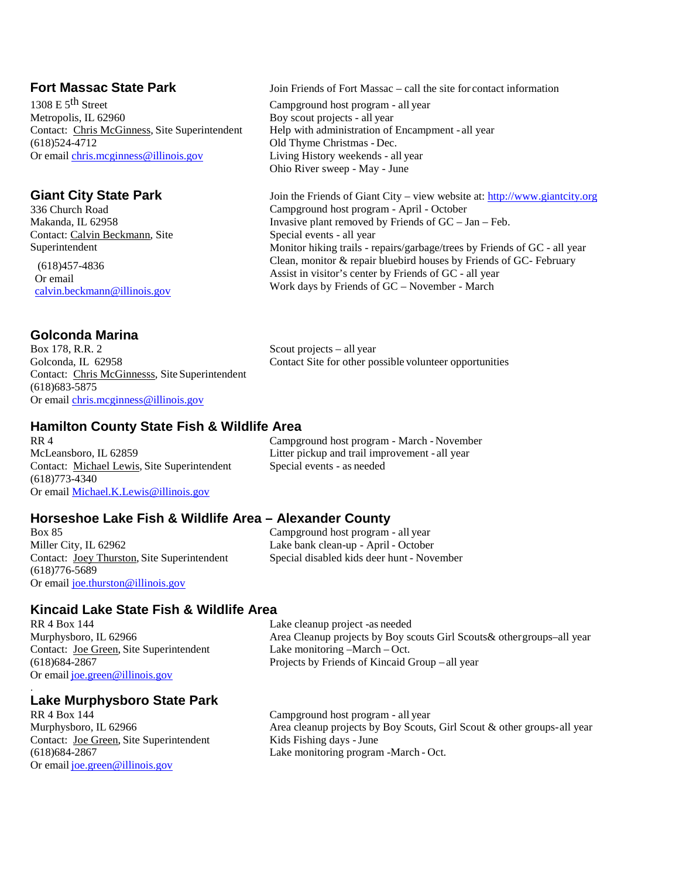#### **Fort Massac State Park** Join Friends of Fort Massac – call the site for contact information

1308 E 5<sup>th</sup> Street Campground host program - all year Metropolis, IL 62960 Boy scout projects - all year<br>Contact: Chris McGinness, Site Superintendent Help with administration of Contact: Chris McGinness, Site Superintendent Help with administration of Encampment - all year (618)524-4712 Old Thyme Christmas - Dec. Or email [chris.mcginness@illinois.gov](mailto:chris.mcginness@illinois.gov) Living History weekends - all year

#### **Giant City State Park**

336 Church Road Makanda, IL 62958 Contact: Calvin Beckmann, Site Superintendent (618)457-4836 Or email [calvin.beckmann@illinois.gov](mailto:calvin.beckmann@illinois.gov)

### **Golconda Marina**

Box 178, R.R. 2 Scout projects – all year<br>Golconda, IL 62958 Contact Site for other po Contact: Chris McGinnesss, Site Superintendent (618)683-5875 Or email [chris.mcginness@illinois.gov](mailto:chris.mcginness@illinois.gov)

# Contact Site for other possible volunteer opportunities

Join the Friends of Giant City – view website at: [http://www.giantcity.org](http://www.giantcity.org/)

Monitor hiking trails - repairs/garbage/trees by Friends of GC - all year Clean, monitor & repair bluebird houses by Friends of GC- February

Old Thyme Christmas - Dec.

Special events - all year

Ohio River sweep - May - June

Campground host program - April - October

Invasive plant removed by Friends of  $GC - Jan - Feb$ .

Assist in visitor's center by Friends of GC - all year Work days by Friends of GC – November - March

#### **Hamilton County State Fish & Wildlife Area**

McLeansboro, IL 62859 Litter pickup and trail improvement - all year Contact: Michael Lewis, Site Superintendent Special events - as needed (618)773-4340 Or email [Michael.K.Lewis@illinois.gov](mailto:Michael.K.Lewis@illinois.gov)

RR 4 Campground host program - March - November

#### **Horseshoe Lake Fish & Wildlife Area – Alexander County** Campground host program - all year

Miller City, IL 62962 Lake bank clean-up - April - October Contact: Joey Thurston, Site Superintendent Special disabled kids deer hunt - November (618)776-5689 Or email [joe.thurston@illinois.gov](mailto:joe.thurston@illinois.gov)

## **Kincaid Lake State Fish & Wildlife Area**

RR 4 Box 144 Lake cleanup project -as needed<br>Murphysboro, IL 62966 **Area** Cleanup projects by Boy so Contact: Joe Green, Site Superintendent Lake monitoring –March – Oct. Or email [joe.green@illinois.gov](mailto:joe.green@illinois.gov)

.

### **Lake Murphysboro State Park**

Contact: <u>Joe Green</u>, Site Superintendent (618) 684-2867 Or email [joe.green@illinois.gov](mailto:joe.green@illinois.gov)

Area Cleanup projects by Boy scouts Girl Scouts & other groups–all year (618)684-2867 Projects by Friends of Kincaid Group – all year

Campground host program - all year Murphysboro, IL 62966 <br>
Area cleanup projects by Boy Scouts, Girl Scout & other groups-all year<br>
Contact: Joe Green, Site Superintendent<br>
Kids Fishing days - June Lake monitoring program -March - Oct.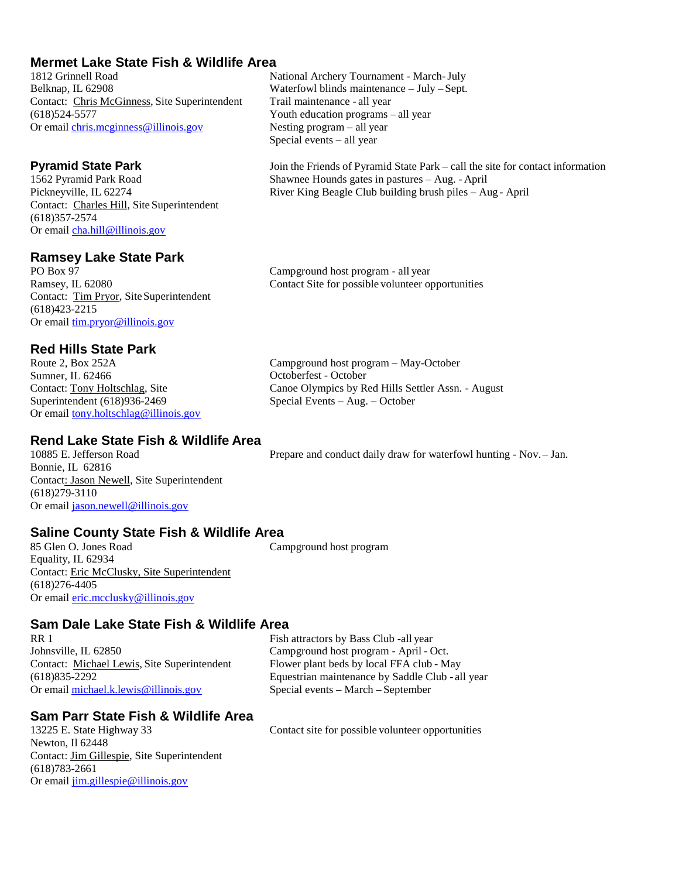#### **Mermet Lake State Fish & Wildlife Area**

1812 Grinnell Road National Archery Tournament - March-July Belknap, IL 62908 Waterfowl blinds maintenance – July – Sept. Contact: Chris McGinness, Site Superintendent Trail maintenance - all year  $(618)524-5577$ <br>Or email chris.meginness@illinois.gov Nesting program – all year<br>Nesting program – all year Or email [chris.mcginness@illinois.gov](mailto:chris.mcginness@illinois.gov)

Contact: Charles Hill, Site Superintendent (618)357-2574 Or email [cha.hill@illinois.gov](mailto:cha.hill@illinois.gov)

### **Ramsey Lake State Park**

Contact: Tim Pryor, Site Superintendent  $(618)423 - 2215$ Or email [tim.pryor@illinois.gov](mailto:tim.pryor@illinois.gov)

#### **Red Hills State Park**

Route 2, Box 252A Sumner, IL 62466 Contact: Tony Holtschlag, Site Superintendent (618)936-2469 Or email [tony.holtschlag@illinois.gov](mailto:jim.gillespie@illinois.gov)

### **Rend Lake State Fish & Wildlife Area**

Bonnie, IL 62816 Contact: Jason Newell, Site Superintendent (618)279-3110 Or email [jason.newell@illinois.gov](mailto:jason.newell@illinois.gov)

Prepare and conduct daily draw for waterfowl hunting - Nov.– Jan.

### **Saline County State Fish & Wildlife Area**

Equality, IL 62934 Contact: Eric McClusky, Site Superintendent (618)276-4405 Or email [eric.mcclusky@illinois.gov](mailto:eric.mcclusky@illinois.gov)

Campground host program

Octoberfest - October

Special Events – Aug. – October

#### **Sam Dale Lake State Fish & Wildlife Area**

RR 1 Fish attractors by Bass Club -all year Johnsville, IL 62850 Campground host program - April - Oct. Contact: Michael Lewis, Site Superintendent Flower plant beds by local FFA club - May

(618)835-2292 Equestrian maintenance by Saddle Club - all year Special events – March – September

### **Sam Parr State Fish & Wildlife Area** 13225 E. State Highway 33

Newton, Il 62448 Contact: Jim Gillespie, Site Superintendent (618)783-2661 Or email [jim.gillespie@illinois.gov](mailto:jim.gillespie@illinois.gov)

Contact site for possible volunteer opportunities

Campground host program - all year Ramsey, IL 62080 Contact Site for possible volunteer opportunities

Campground host program – May-October

Canoe Olympics by Red Hills Settler Assn. - August

Special events – all year

**Pyramid State Park** Join the Friends of Pyramid State Park – call the site for contact information 1562 Pyramid Park Road Shawnee Hounds gates in pastures – Aug. - April 1562 Pyramid Park Road Shawnee Hounds gates in pastures – Aug. - April River King Beagle Club building brush piles – Aug - April